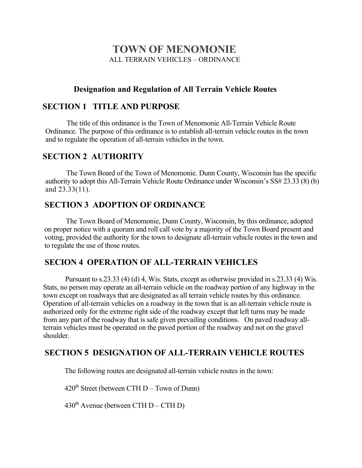# **TOWN OF MENOMONIE** ALL TERRAIN VEHICLES – ORDINANCE

## **Designation and Regulation of All Terrain Vehicle Routes**

## **SECTION 1 TITLE AND PURPOSE**

The title of this ordinance is the Town of Menomonie All-Terrain Vehicle Route Ordinance. The purpose of this ordinance is to establish all-terrain vehicle routes in the town and to regulate the operation of all-terrain vehicles in the town.

## **SECTION 2 AUTHORITY**

The Town Board of the Town of Menomonie. Dunn County, Wisconsin has the specific authority to adopt this All-Terrain Vehicle Route Ordinance under Wisconsin's SS# 23.33 (8) (b) and 23.33(11).

# **SECTION 3 ADOPTION OF ORDINANCE**

The Town Board of Menomonie, Dunn County, Wisconsin, by this ordinance, adopted on proper notice with a quorum and roll call vote by a majority of the Town Board present and voting, provided the authority for the town to designate all-terrain vehicle routes in the town and to regulate the use of those routes.

# **SECION 4 OPERATION OF ALL-TERRAIN VEHICLES**

Pursuant to s.23.33 (4) (d) 4, Wis. Stats, except as otherwise provided in s.23.33 (4) Wis. Stats, no person may operate an all-terrain vehicle on the roadway portion of any highway in the town except on roadways that are designated as all terrain vehicle routes by this ordinance. Operation of all-terrain vehicles on a roadway in the town that is an all-terrain vehicle route is authorized only for the extreme right side of the roadway except that left turns may be made from any part of the roadway that is safe given prevailing conditions. On paved roadway allterrain vehicles must be operated on the paved portion of the roadway and not on the gravel shoulder.

### **SECTION 5 DESIGNATION OF ALL-TERRAIN VEHICLE ROUTES**

The following routes are designated all-terrain vehicle routes in the town:

 $420<sup>th</sup> Street (between CTH D – Town of Dunn)$ 

430<sup>th</sup> Avenue (between CTH  $D - CTH$  D)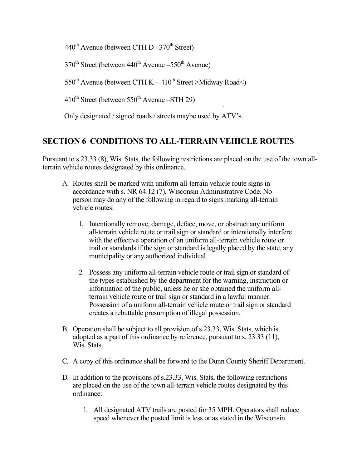$440^{\text{th}}$  Avenue (between CTH D $-370^{\text{th}}$  Street)

 $370<sup>th</sup>$  Street (between  $440<sup>th</sup>$  Avenue –550<sup>th</sup> Avenue)

550<sup>th</sup> Avenue (between CTH K – 410<sup>th</sup> Street >Midway Road<)

 $410^{th}$  Street (between 550<sup>th</sup> Avenue –STH 29)

Only designated / signed roads / streets maybe used by ATV's.

### **SECTION 6 CONDITIONS TO ALL-TERRAIN VEHICLE ROUTES**

Pursuant to s.23.33 (8), Wis. Stats, the following restrictions are placed on the use of the town allterrain vehicle routes designated by this ordinance.

•

- A. Routes shall be marked with uniform all-terrain vehicle route signs in accordance with s. NR 64.12 (7), Wisconsin Administrative Code. No person may do any of the following in regard to signs marking all-terrain vehicle routes:
	- 1. Intentionally remove, damage, deface, move, or obstruct any uniform all-terrain vehicle route or trail sign or standard or intentionally interfere with the effective operation of an uniform all-terrain vehicle route or trail or standards if the sign or standard is legally placed by the state, any municipality or any authorized individual.
	- 2. Possess any uniform all-terrain vehicle route or trail sign or standard of the types established by the department for the warning, instruction or information of the public, unless he or she obtained the uniform allterrain vehicle route or trail sign or standard in a lawful manner. Possession of a uniform all-terrain vehicle route or trail sign or standard creates a rebuttable presumption of illegal possession.
- B. Operation shall be subject to all provision of s.23.33, Wis. Stats, which is adopted as a part of this ordinance by reference, pursuant to s. 23.33 (11), Wis. Stats.
- C. A copy of this ordinance shall be forward to the Dunn County Sheriff Department.
- D. In addition to the provisions of s.23.33, Wis. Stats, the following restrictions are placed on the use of the town all-terrain vehicle routes designated by this ordinance:
	- 1. All designated ATV trails are posted for 35 MPH. Operators shall reduce speed whenever the posted limit is less or as stated in the Wisconsin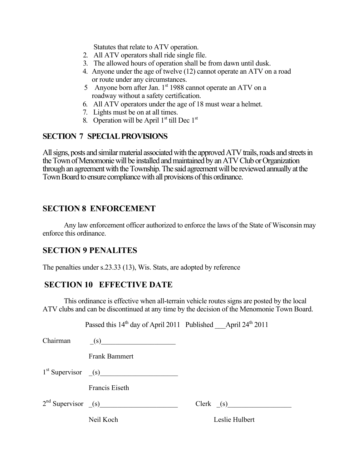Statutes that relate to ATV operation.

- 2. All ATV operators shall ride single file.
- 3. The allowed hours of operation shall be from dawn until dusk.
- 4. Anyone under the age of twelve (12) cannot operate an ATV on a road or route under any circumstances.
- 5 Anyone born after Jan. 1<sup>st</sup> 1988 cannot operate an ATV on a roadway without a safety certification.
- 6. All ATV operators under the age of 18 must wear a helmet.
- 7. Lights must be on at all times.
- 8. Operation will be April  $1<sup>st</sup>$  till Dec  $1<sup>st</sup>$

#### **SECTION 7 SPECIAL PROVISIONS**

All signs, posts and similar material associated with the approved ATV trails, roads and streets in the Town of Menomonie will be installed and maintained by an ATV Club or Organization through an agreement with the Township. The said agreement will be reviewed annually at the Town Board to ensure compliance with all provisions of this ordinance.

#### **SECTION 8 ENFORCEMENT**

Any law enforcement officer authorized to enforce the laws of the State of Wisconsin may enforce this ordinance.

#### **SECTION 9 PENALITES**

The penalties under s.23.33 (13), Wis. Stats, are adopted by reference

#### **SECTION 10 EFFECTIVE DATE**

This ordinance is effective when all-terrain vehicle routes signs are posted by the local ATV clubs and can be discontinued at any time by the decision of the Menomonie Town Board.

|  |  | Passed this $14th$ day of April 2011 Published |  | April $24^{th}$ 2011 |  |
|--|--|------------------------------------------------|--|----------------------|--|
|--|--|------------------------------------------------|--|----------------------|--|

| Chairman | (s)                     |                |  |
|----------|-------------------------|----------------|--|
|          | <b>Frank Bammert</b>    |                |  |
|          | $1st$ Supervisor $(s)$  |                |  |
|          | Francis Eiseth          |                |  |
|          | $2nd$ Supervisor $($ s) | $Clerk$ (s)    |  |
|          | Neil Koch               | Leslie Hulbert |  |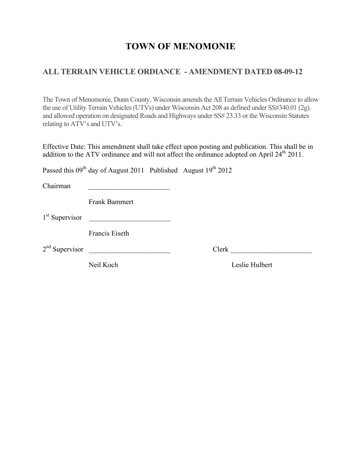# **TOWN OF MENOMONIE**

### **ALL TERRAIN VEHICLE ORDIANCE - AMENDMENT DATED 08-09-12**

The Town of Menomonie, Dunn County, Wisconsin amends the All Terrain Vehicles Ordinance to allow the use of Utility Terrain Vehicles (UTVs) under Wisconsin Act 208 as defined under SS#340.01 (2g). and allowed operation on designated Roads and Highways under SS# 23.33 or the Wisconsin Statutes relating to ATV's and UTV's. 

Effective Date: This amendment shall take effect upon posting and publication. This shall be in addition to the ATV ordinance and will not affect the ordinance adopted on April 24<sup>th</sup> 2011.

Passed this  $09<sup>th</sup>$  day of August 2011 Published August  $19<sup>th</sup>$  2012

Chairman \_\_\_\_\_\_\_\_\_\_\_\_\_\_\_\_\_\_\_\_\_\_\_

Frank Bammert

 $1<sup>st</sup>$  Supervisor

Francis Eiseth

2nd Supervisor \_\_\_\_\_\_\_\_\_\_\_\_\_\_\_\_\_\_\_\_\_\_\_ Clerk \_\_\_\_\_\_\_\_\_\_\_\_\_\_\_\_\_\_\_\_\_\_\_

Neil Koch Leslie Hulbert